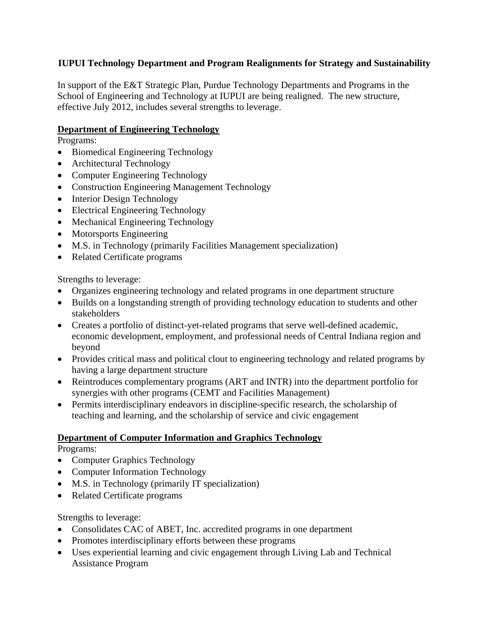## **IUPUI Technology Department and Program Realignments for Strategy and Sustainability**

In support of the E&T Strategic Plan, Purdue Technology Departments and Programs in the School of Engineering and Technology at IUPUI are being realigned. The new structure, effective July 2012, includes several strengths to leverage.

## **Department of Engineering Technology**

Programs:

- Biomedical Engineering Technology
- Architectural Technology
- Computer Engineering Technology
- Construction Engineering Management Technology
- Interior Design Technology
- Electrical Engineering Technology
- Mechanical Engineering Technology
- Motorsports Engineering
- M.S. in Technology (primarily Facilities Management specialization)
- Related Certificate programs

Strengths to leverage:

- Organizes engineering technology and related programs in one department structure
- Builds on a longstanding strength of providing technology education to students and other stakeholders
- Creates a portfolio of distinct-yet-related programs that serve well-defined academic, economic development, employment, and professional needs of Central Indiana region and beyond
- Provides critical mass and political clout to engineering technology and related programs by having a large department structure
- Reintroduces complementary programs (ART and INTR) into the department portfolio for synergies with other programs (CEMT and Facilities Management)
- Permits interdisciplinary endeavors in discipline-specific research, the scholarship of teaching and learning, and the scholarship of service and civic engagement

## **Department of Computer Information and Graphics Technology**

Programs:

- Computer Graphics Technology
- Computer Information Technology
- M.S. in Technology (primarily IT specialization)
- Related Certificate programs

Strengths to leverage:

- Consolidates CAC of ABET, Inc. accredited programs in one department
- Promotes interdisciplinary efforts between these programs
- Uses experiential learning and civic engagement through Living Lab and Technical Assistance Program